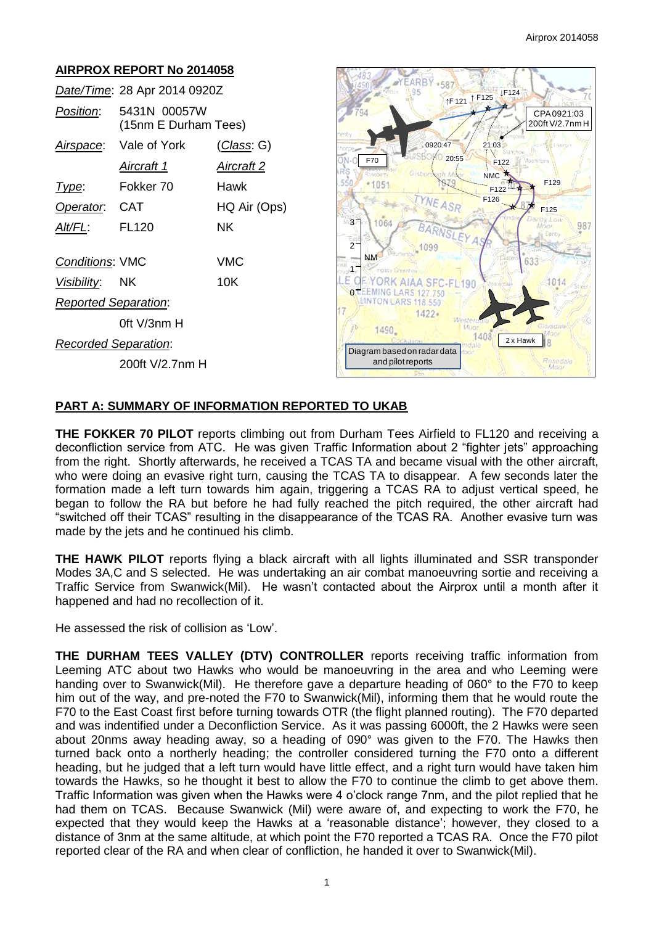# **AIRPROX REPORT No 2014058**

|                             | Date/Time: 28 Apr 2014 0920Z         |              |
|-----------------------------|--------------------------------------|--------------|
| Position:                   | 5431N 00057W<br>(15nm E Durham Tees) |              |
|                             | Airspace: Vale of York               | (Class: G)   |
|                             | Aircraft 1                           | Aircraft 2   |
| l ype:                      | Fokker 70                            | Hawk         |
| Operator. CAT               |                                      | HQ Air (Ops) |
| AIt/FL:                     | <b>FL120</b>                         | NK.          |
| <b>Conditions: VMC</b>      |                                      | VMC          |
| <i>Visibility</i> : NK      |                                      | 10K          |
| <b>Reported Separation:</b> |                                      |              |
|                             | 0ft V/3nm H                          |              |
| Recorded Separation:        |                                      |              |
|                             | 200ft V/2.7nm H                      |              |



### **PART A: SUMMARY OF INFORMATION REPORTED TO UKAB**

**THE FOKKER 70 PILOT** reports climbing out from Durham Tees Airfield to FL120 and receiving a deconfliction service from ATC. He was given Traffic Information about 2 "fighter jets" approaching from the right. Shortly afterwards, he received a TCAS TA and became visual with the other aircraft, who were doing an evasive right turn, causing the TCAS TA to disappear. A few seconds later the formation made a left turn towards him again, triggering a TCAS RA to adjust vertical speed, he began to follow the RA but before he had fully reached the pitch required, the other aircraft had "switched off their TCAS" resulting in the disappearance of the TCAS RA. Another evasive turn was made by the jets and he continued his climb.

**THE HAWK PILOT** reports flying a black aircraft with all lights illuminated and SSR transponder Modes 3A,C and S selected. He was undertaking an air combat manoeuvring sortie and receiving a Traffic Service from Swanwick(Mil). He wasn't contacted about the Airprox until a month after it happened and had no recollection of it.

He assessed the risk of collision as 'Low'.

**THE DURHAM TEES VALLEY (DTV) CONTROLLER** reports receiving traffic information from Leeming ATC about two Hawks who would be manoeuvring in the area and who Leeming were handing over to Swanwick(Mil). He therefore gave a departure heading of 060° to the F70 to keep him out of the way, and pre-noted the F70 to Swanwick(Mil), informing them that he would route the F70 to the East Coast first before turning towards OTR (the flight planned routing). The F70 departed and was indentified under a Deconfliction Service. As it was passing 6000ft, the 2 Hawks were seen about 20nms away heading away, so a heading of 090° was given to the F70. The Hawks then turned back onto a northerly heading; the controller considered turning the F70 onto a different heading, but he judged that a left turn would have little effect, and a right turn would have taken him towards the Hawks, so he thought it best to allow the F70 to continue the climb to get above them. Traffic Information was given when the Hawks were 4 o'clock range 7nm, and the pilot replied that he had them on TCAS. Because Swanwick (Mil) were aware of, and expecting to work the F70, he expected that they would keep the Hawks at a 'reasonable distance'; however, they closed to a distance of 3nm at the same altitude, at which point the F70 reported a TCAS RA. Once the F70 pilot reported clear of the RA and when clear of confliction, he handed it over to Swanwick(Mil).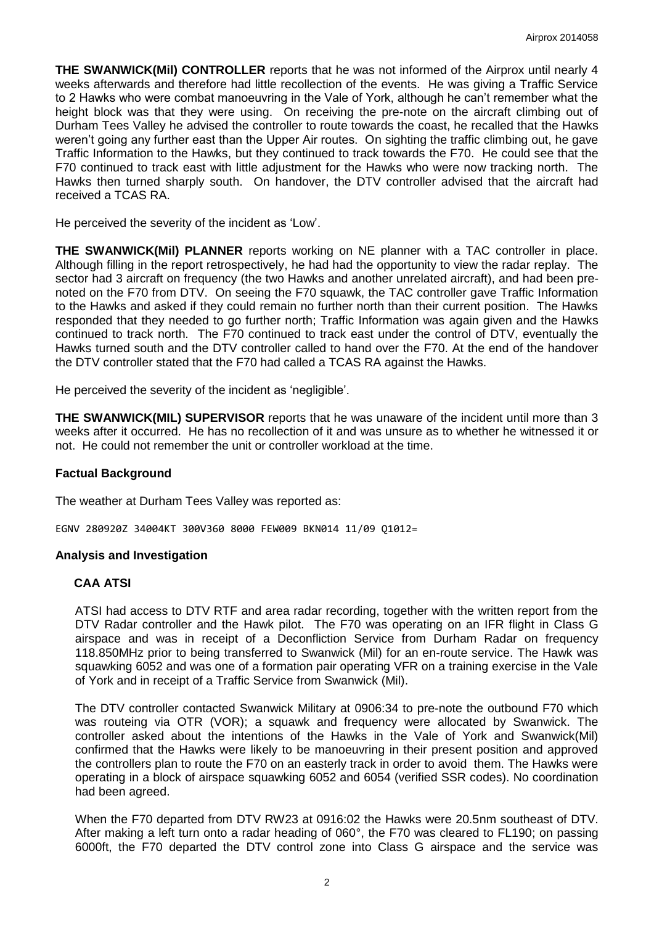**THE SWANWICK(Mil) CONTROLLER** reports that he was not informed of the Airprox until nearly 4 weeks afterwards and therefore had little recollection of the events. He was giving a Traffic Service to 2 Hawks who were combat manoeuvring in the Vale of York, although he can't remember what the height block was that they were using. On receiving the pre-note on the aircraft climbing out of Durham Tees Valley he advised the controller to route towards the coast, he recalled that the Hawks weren't going any further east than the Upper Air routes. On sighting the traffic climbing out, he gave Traffic Information to the Hawks, but they continued to track towards the F70. He could see that the F70 continued to track east with little adjustment for the Hawks who were now tracking north. The Hawks then turned sharply south. On handover, the DTV controller advised that the aircraft had received a TCAS RA.

He perceived the severity of the incident as 'Low'.

**THE SWANWICK(Mil) PLANNER** reports working on NE planner with a TAC controller in place. Although filling in the report retrospectively, he had had the opportunity to view the radar replay. The sector had 3 aircraft on frequency (the two Hawks and another unrelated aircraft), and had been prenoted on the F70 from DTV. On seeing the F70 squawk, the TAC controller gave Traffic Information to the Hawks and asked if they could remain no further north than their current position. The Hawks responded that they needed to go further north; Traffic Information was again given and the Hawks continued to track north. The F70 continued to track east under the control of DTV, eventually the Hawks turned south and the DTV controller called to hand over the F70. At the end of the handover the DTV controller stated that the F70 had called a TCAS RA against the Hawks.

He perceived the severity of the incident as 'negligible'.

**THE SWANWICK(MIL) SUPERVISOR** reports that he was unaware of the incident until more than 3 weeks after it occurred. He has no recollection of it and was unsure as to whether he witnessed it or not. He could not remember the unit or controller workload at the time.

#### **Factual Background**

The weather at Durham Tees Valley was reported as:

EGNV 280920Z 34004KT 300V360 8000 FEW009 BKN014 11/09 Q1012=

#### **Analysis and Investigation**

#### **CAA ATSI**

ATSI had access to DTV RTF and area radar recording, together with the written report from the DTV Radar controller and the Hawk pilot. The F70 was operating on an IFR flight in Class G airspace and was in receipt of a Deconfliction Service from Durham Radar on frequency 118.850MHz prior to being transferred to Swanwick (Mil) for an en-route service. The Hawk was squawking 6052 and was one of a formation pair operating VFR on a training exercise in the Vale of York and in receipt of a Traffic Service from Swanwick (Mil).

The DTV controller contacted Swanwick Military at 0906:34 to pre-note the outbound F70 which was routeing via OTR (VOR); a squawk and frequency were allocated by Swanwick. The controller asked about the intentions of the Hawks in the Vale of York and Swanwick(Mil) confirmed that the Hawks were likely to be manoeuvring in their present position and approved the controllers plan to route the F70 on an easterly track in order to avoid them. The Hawks were operating in a block of airspace squawking 6052 and 6054 (verified SSR codes). No coordination had been agreed.

When the F70 departed from DTV RW23 at 0916:02 the Hawks were 20.5nm southeast of DTV. After making a left turn onto a radar heading of 060°, the F70 was cleared to FL190; on passing 6000ft, the F70 departed the DTV control zone into Class G airspace and the service was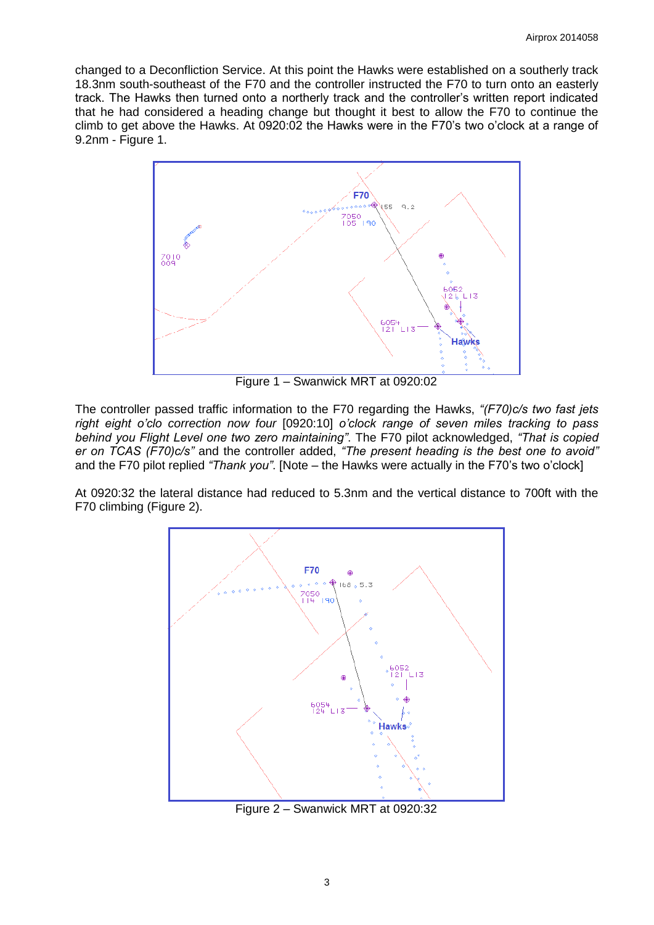changed to a Deconfliction Service. At this point the Hawks were established on a southerly track 18.3nm south-southeast of the F70 and the controller instructed the F70 to turn onto an easterly track. The Hawks then turned onto a northerly track and the controller's written report indicated that he had considered a heading change but thought it best to allow the F70 to continue the climb to get above the Hawks. At 0920:02 the Hawks were in the F70's two o'clock at a range of 9.2nm - Figure 1.



Figure 1 – Swanwick MRT at 0920:02

The controller passed traffic information to the F70 regarding the Hawks, *"(F70)c/s two fast jets right eight o'clo correction now four* [0920:10] *o'clock range of seven miles tracking to pass behind you Flight Level one two zero maintaining"*. The F70 pilot acknowledged, *"That is copied er on TCAS (F70)c/s"* and the controller added, *"The present heading is the best one to avoid"* and the F70 pilot replied *"Thank you"*. [Note – the Hawks were actually in the F70's two o'clock]

At 0920:32 the lateral distance had reduced to 5.3nm and the vertical distance to 700ft with the F70 climbing (Figure 2).



Figure 2 – Swanwick MRT at 0920:32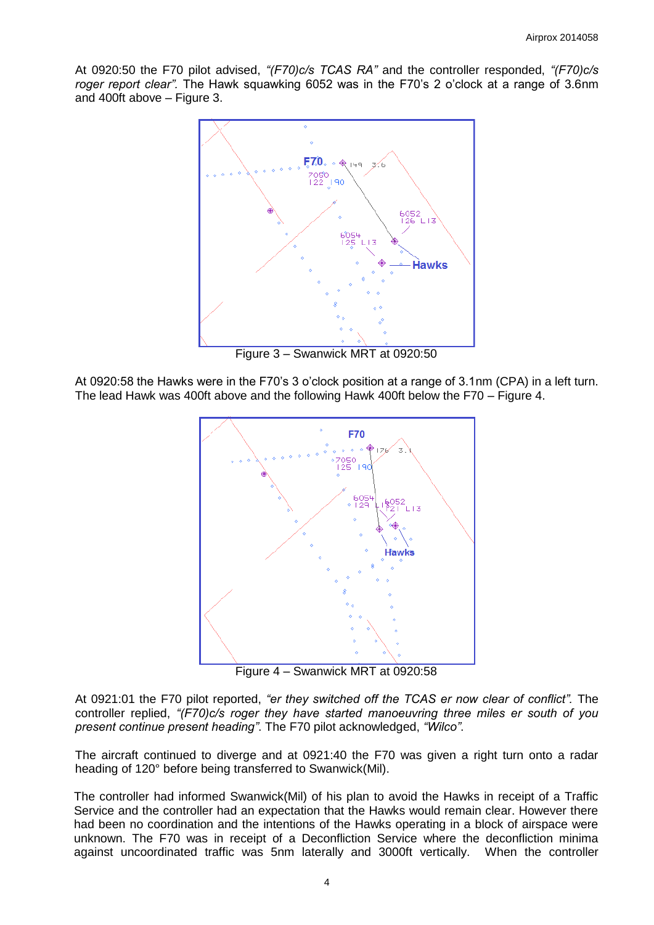At 0920:50 the F70 pilot advised, *"(F70)c/s TCAS RA"* and the controller responded, *"(F70)c/s roger report clear".* The Hawk squawking 6052 was in the F70's 2 o'clock at a range of 3.6nm and 400ft above – Figure 3.



Figure 3 – Swanwick MRT at 0920:50

At 0920:58 the Hawks were in the F70's 3 o'clock position at a range of 3.1nm (CPA) in a left turn. The lead Hawk was 400ft above and the following Hawk 400ft below the F70 – Figure 4.



Figure 4 – Swanwick MRT at 0920:58

At 0921:01 the F70 pilot reported, *"er they switched off the TCAS er now clear of conflict".* The controller replied, *"(F70)c/s roger they have started manoeuvring three miles er south of you present continue present heading"*. The F70 pilot acknowledged, *"Wilco"*.

The aircraft continued to diverge and at 0921:40 the F70 was given a right turn onto a radar heading of 120° before being transferred to Swanwick(Mil).

The controller had informed Swanwick(Mil) of his plan to avoid the Hawks in receipt of a Traffic Service and the controller had an expectation that the Hawks would remain clear. However there had been no coordination and the intentions of the Hawks operating in a block of airspace were unknown. The F70 was in receipt of a Deconfliction Service where the deconfliction minima against uncoordinated traffic was 5nm laterally and 3000ft vertically. When the controller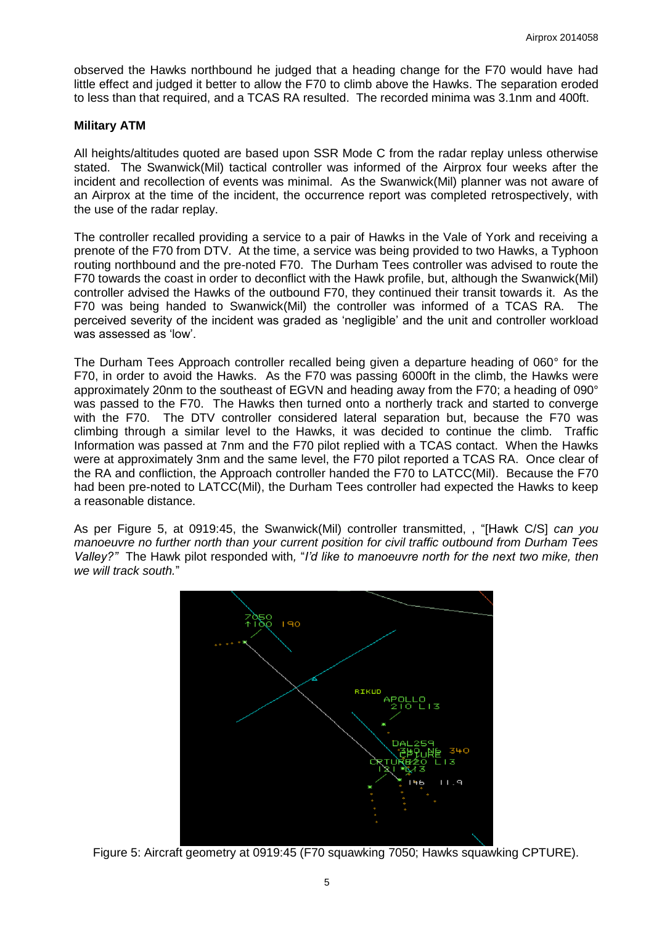observed the Hawks northbound he judged that a heading change for the F70 would have had little effect and judged it better to allow the F70 to climb above the Hawks. The separation eroded to less than that required, and a TCAS RA resulted. The recorded minima was 3.1nm and 400ft.

### **Military ATM**

All heights/altitudes quoted are based upon SSR Mode C from the radar replay unless otherwise stated. The Swanwick(Mil) tactical controller was informed of the Airprox four weeks after the incident and recollection of events was minimal. As the Swanwick(Mil) planner was not aware of an Airprox at the time of the incident, the occurrence report was completed retrospectively, with the use of the radar replay.

The controller recalled providing a service to a pair of Hawks in the Vale of York and receiving a prenote of the F70 from DTV. At the time, a service was being provided to two Hawks, a Typhoon routing northbound and the pre-noted F70. The Durham Tees controller was advised to route the F70 towards the coast in order to deconflict with the Hawk profile, but, although the Swanwick(Mil) controller advised the Hawks of the outbound F70, they continued their transit towards it. As the F70 was being handed to Swanwick(Mil) the controller was informed of a TCAS RA. The perceived severity of the incident was graded as 'negligible' and the unit and controller workload was assessed as 'low'.

The Durham Tees Approach controller recalled being given a departure heading of 060° for the F70, in order to avoid the Hawks. As the F70 was passing 6000ft in the climb, the Hawks were approximately 20nm to the southeast of EGVN and heading away from the F70; a heading of 090° was passed to the F70. The Hawks then turned onto a northerly track and started to converge with the F70. The DTV controller considered lateral separation but, because the F70 was climbing through a similar level to the Hawks, it was decided to continue the climb. Traffic Information was passed at 7nm and the F70 pilot replied with a TCAS contact. When the Hawks were at approximately 3nm and the same level, the F70 pilot reported a TCAS RA. Once clear of the RA and confliction, the Approach controller handed the F70 to LATCC(Mil). Because the F70 had been pre-noted to LATCC(Mil), the Durham Tees controller had expected the Hawks to keep a reasonable distance.

As per Figure 5, at 0919:45, the Swanwick(Mil) controller transmitted, , "[Hawk C/S] *can you manoeuvre no further north than your current position for civil traffic outbound from Durham Tees Valley?"* The Hawk pilot responded with*,* "*I'd like to manoeuvre north for the next two mike, then we will track south.*"



Figure 5: Aircraft geometry at 0919:45 (F70 squawking 7050; Hawks squawking CPTURE).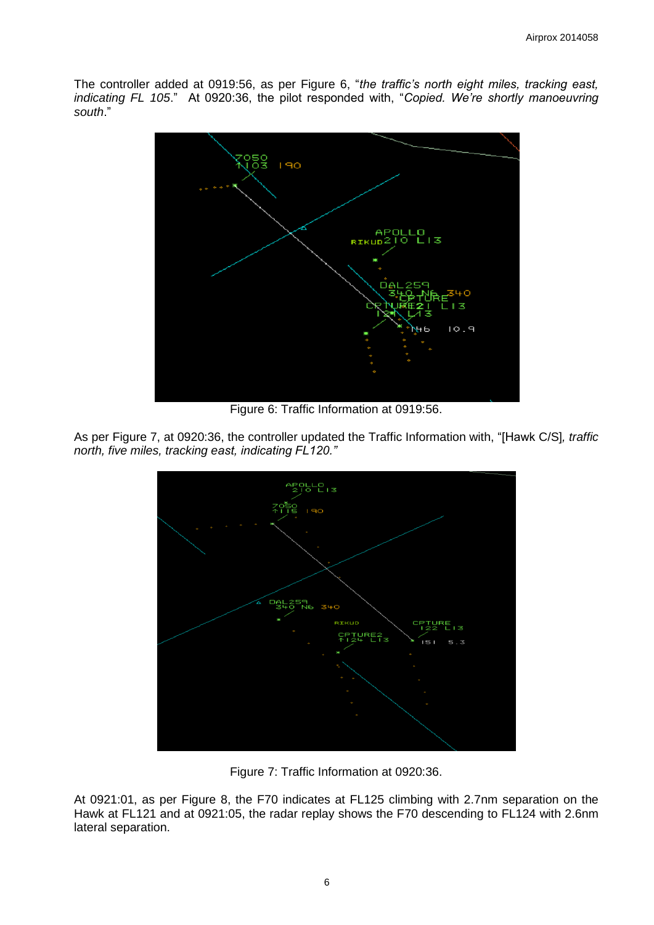The controller added at 0919:56, as per Figure 6, "*the traffic's north eight miles, tracking east, indicating FL 105*." At 0920:36, the pilot responded with, "*Copied. We're shortly manoeuvring south*."



Figure 6: Traffic Information at 0919:56.

As per Figure 7, at 0920:36, the controller updated the Traffic Information with, "[Hawk C/S]*, traffic north, five miles, tracking east, indicating FL120."* 



Figure 7: Traffic Information at 0920:36.

At 0921:01, as per Figure 8, the F70 indicates at FL125 climbing with 2.7nm separation on the Hawk at FL121 and at 0921:05, the radar replay shows the F70 descending to FL124 with 2.6nm lateral separation.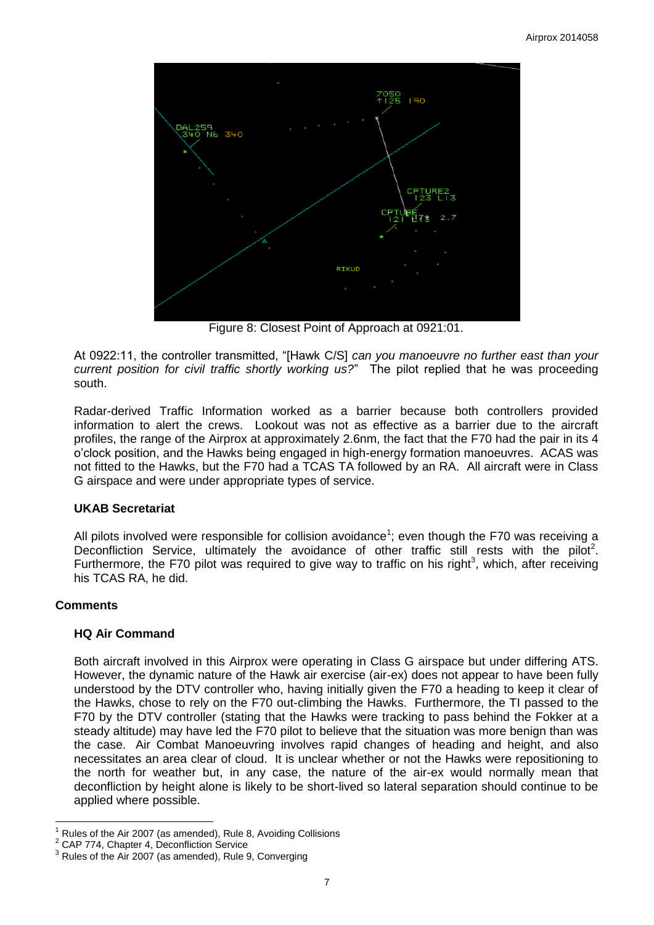

Figure 8: Closest Point of Approach at 0921:01.

At 0922:11, the controller transmitted, "[Hawk C/S] *can you manoeuvre no further east than your current position for civil traffic shortly working us?*" The pilot replied that he was proceeding south.

Radar-derived Traffic Information worked as a barrier because both controllers provided information to alert the crews. Lookout was not as effective as a barrier due to the aircraft profiles, the range of the Airprox at approximately 2.6nm, the fact that the F70 had the pair in its 4 o'clock position, and the Hawks being engaged in high-energy formation manoeuvres. ACAS was not fitted to the Hawks, but the F70 had a TCAS TA followed by an RA. All aircraft were in Class G airspace and were under appropriate types of service.

# **UKAB Secretariat**

All pilots involved were responsible for collision avoidance<sup>1</sup>; even though the F70 was receiving a Deconfliction Service, ultimately the avoidance of other traffic still rests with the pilot<sup>2</sup>. Furthermore, the F70 pilot was required to give way to traffic on his right<sup>3</sup>, which, after receiving his TCAS RA, he did.

# **Comments**

# **HQ Air Command**

Both aircraft involved in this Airprox were operating in Class G airspace but under differing ATS. However, the dynamic nature of the Hawk air exercise (air-ex) does not appear to have been fully understood by the DTV controller who, having initially given the F70 a heading to keep it clear of the Hawks, chose to rely on the F70 out-climbing the Hawks. Furthermore, the TI passed to the F70 by the DTV controller (stating that the Hawks were tracking to pass behind the Fokker at a steady altitude) may have led the F70 pilot to believe that the situation was more benign than was the case. Air Combat Manoeuvring involves rapid changes of heading and height, and also necessitates an area clear of cloud. It is unclear whether or not the Hawks were repositioning to the north for weather but, in any case, the nature of the air-ex would normally mean that deconfliction by height alone is likely to be short-lived so lateral separation should continue to be applied where possible.

 $\overline{a}$ Rules of the Air 2007 (as amended), Rule 8, Avoiding Collisions

<sup>2</sup> CAP 774, Chapter 4, Deconfliction Service

 $3$  Rules of the Air 2007 (as amended), Rule 9, Converging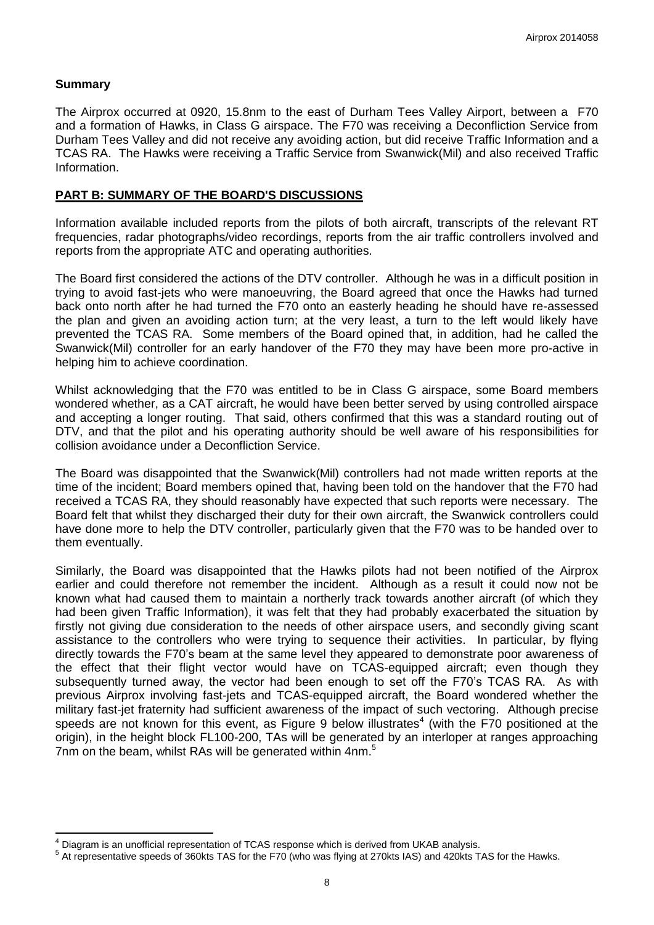### **Summary**

 $\overline{\phantom{a}}$ 

The Airprox occurred at 0920, 15.8nm to the east of Durham Tees Valley Airport, between a F70 and a formation of Hawks, in Class G airspace. The F70 was receiving a Deconfliction Service from Durham Tees Valley and did not receive any avoiding action, but did receive Traffic Information and a TCAS RA. The Hawks were receiving a Traffic Service from Swanwick(Mil) and also received Traffic Information.

### **PART B: SUMMARY OF THE BOARD'S DISCUSSIONS**

Information available included reports from the pilots of both aircraft, transcripts of the relevant RT frequencies, radar photographs/video recordings, reports from the air traffic controllers involved and reports from the appropriate ATC and operating authorities.

The Board first considered the actions of the DTV controller. Although he was in a difficult position in trying to avoid fast-jets who were manoeuvring, the Board agreed that once the Hawks had turned back onto north after he had turned the F70 onto an easterly heading he should have re-assessed the plan and given an avoiding action turn; at the very least, a turn to the left would likely have prevented the TCAS RA. Some members of the Board opined that, in addition, had he called the Swanwick(Mil) controller for an early handover of the F70 they may have been more pro-active in helping him to achieve coordination.

Whilst acknowledging that the F70 was entitled to be in Class G airspace, some Board members wondered whether, as a CAT aircraft, he would have been better served by using controlled airspace and accepting a longer routing. That said, others confirmed that this was a standard routing out of DTV, and that the pilot and his operating authority should be well aware of his responsibilities for collision avoidance under a Deconfliction Service.

The Board was disappointed that the Swanwick(Mil) controllers had not made written reports at the time of the incident; Board members opined that, having been told on the handover that the F70 had received a TCAS RA, they should reasonably have expected that such reports were necessary. The Board felt that whilst they discharged their duty for their own aircraft, the Swanwick controllers could have done more to help the DTV controller, particularly given that the F70 was to be handed over to them eventually.

Similarly, the Board was disappointed that the Hawks pilots had not been notified of the Airprox earlier and could therefore not remember the incident. Although as a result it could now not be known what had caused them to maintain a northerly track towards another aircraft (of which they had been given Traffic Information), it was felt that they had probably exacerbated the situation by firstly not giving due consideration to the needs of other airspace users, and secondly giving scant assistance to the controllers who were trying to sequence their activities. In particular, by flying directly towards the F70's beam at the same level they appeared to demonstrate poor awareness of the effect that their flight vector would have on TCAS-equipped aircraft; even though they subsequently turned away, the vector had been enough to set off the F70's TCAS RA. As with previous Airprox involving fast-jets and TCAS-equipped aircraft, the Board wondered whether the military fast-jet fraternity had sufficient awareness of the impact of such vectoring. Although precise speeds are not known for this event, as Figure 9 below illustrates<sup>4</sup> (with the F70 positioned at the origin), in the height block FL100-200, TAs will be generated by an interloper at ranges approaching 7nm on the beam, whilst RAs will be generated within 4nm.<sup>5</sup>

<sup>4</sup> Diagram is an unofficial representation of TCAS response which is derived from UKAB analysis.

<sup>5</sup> At representative speeds of 360kts TAS for the F70 (who was flying at 270kts IAS) and 420kts TAS for the Hawks.